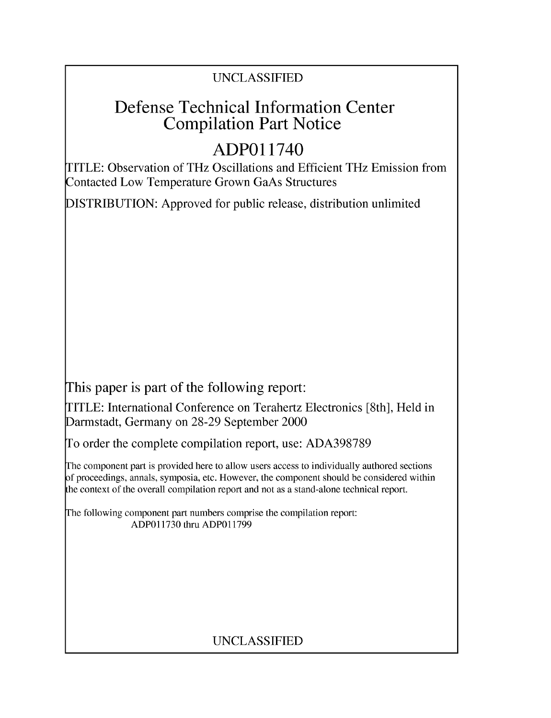### UNCLASSIFIED

## Defense Technical Information Center Compilation Part Notice

## **ADPO** 11740

TITLE: Observation of THz Oscillations and Efficient THz Emission from Contacted Low Temperature Grown GaAs Structures

DISTRIBUTION: Approved for public release, distribution unlimited

This paper is part of the following report:

TITLE: International Conference on Terahertz Electronics [8th], Held in Darmstadt, Germany on 28-29 September 2000

To order the complete compilation report, use: ADA398789

The component part is provided here to allow users access to individually authored sections f proceedings, annals, symposia, etc. However, the component should be considered within [he context of the overall compilation report and not as a stand-alone technical report.

The following component part numbers comprise the compilation report: ADPO11730 thru ADP011799

### UNCLASSIFIED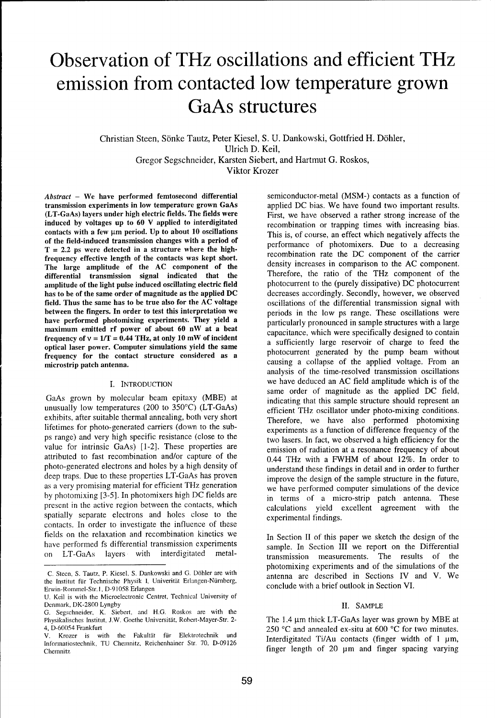# Observation of THz oscillations and efficient THz emission from contacted low temperature grown GaAs structures

Christian Steen, Sönke Tautz, Peter Kiesel, S. U. Dankowski, Gottfried H. Döhler, Ulrich D. Keil, Gregor Segschneider, Karsten Siebert, and Hartmut G. Roskos, Viktor Krozer

transmission experiments in low temperature grown GaAs (LT-GaAs) layers under high electric fields. The fields were (LT-GaAs) layers under high electric fields. The fields were First, we have observed a rather strong increase of the induced by voltages up to 60 V applied to interdigitated recombination or transing times with increasing contacts with a few  $\mu$ m period. Up to about 10 oscillations This is, of course, an effect which negatively affects the of the field-induced transmission changes with a period of performance of photomixers. Due to a decreasing T = 2.2 ps were detected in a structure where the high- recombination rate the **DC** component of the carrier frequency effective length of the contacts was kept short. The large amplitude of the AC component of the density increases in comparison to the AC component.<br>
differential transmission signal indicated that the Therefore, the ratio of the THz component of the amplitude of the light pulse induced oscillating electric field photocurrent to the (purely dissipative) DC photocurrent<br>has to be of the same order of magnitude as the applied DC decreases accordingly. Secondly, however, has to be of the same order of magnitude as the applied DC field. Thus the same has to be true also for the AC voltage between the fingers. In order to test this interpretation we periods in the low ps range. These oscillations were have performed photomixing experiments. They yield a particularly pronounced in sample structures with a large maximum emitted rf power of about 60 nW at a beat capacitance, which were specifically designed to contain frequency of  $v = 1/T = 0.44$  THz, at only 10 mW of incident a sufficiently large reservoir of charge to feed the optical laser power. Computer simulations yield the same<br>photocurrent generated by the pump beam without frequency for the contact structure considered as a photocurrent generated by the pump beam without causing a collapse of the applied voltage. From an exercistry patch antenna.

GaAs grown by molecular beam epitaxy (MBE) at unusually low temperatures (200 to 350°C) (LT-GaAs) exhibits, after suitable thermal annealing, both very short Therefore, we have also performed photomixing lifetimes for photo-generated carriers (down to the sub-<br>experiments as a function of difference frequency of the ps range) and very high specific resistance (close to the value for intrinsic GaAs) [1-2]. These properties are emission of radiation at a resonance frequency of about attributed to fast recombination and/or capture of the 0.44 THz with a FWHM of about 12%. In order to photo-generated electrons and holes by a high density of understand these findings in detail and in order to further deep traps. Due to these properties LT-GaAs has proven improve the design of the sample structure in the future, as a very promising material for efficient THz generation we have performed computer simulations of the device by photomixing [3-5]. In photomixers high DC fields are in terms of a micro-strip patch antenna. These present in the active region between the contacts, which calculations yield excellent agreement with the spatially separate electrons and holes close to the experimental findings. contacts. In order to investigate the influence of these fields on the relaxation and recombination kinetics we In Section II of this paper we sketch the design of the have performed fs differential transmission experiments sample. In Section III we report on the Differential on LT-GaAs layers with interdigitated metal-

*Abstract* – We have performed femtosecond differential semiconductor-metal (MSM-) contacts as a function of transmission experiments in low temperature grown GaAs applied DC bias. We have found two important results. recombination or trapping times with increasing bias. Therefore, the ratio of the THz component of the photocurrent to the (purely dissipative) DC photocurrent oscillations of the differential transmission signal with analysis of the time-resolved transmission oscillations I. INTRODUCTION we have deduced an AC field amplitude which is of the same order of magnitude as the applied DC field, indicating that this sample structure should represent an efficient THz oscillator under photo-mixing conditions. two lasers. In fact, we observed a high efficiency for the

photomixing experiments and of the simulations of the C. Steen, S. Tautz, P. Kiesel, **S.** Dankowski and **G.** Dbhler are with antenna are described in Sections IV and V. We conclude with a brief outlook in Section VI.

The 1.4 µm thick LT-GaAs layer was grown by MBE at 4, D-60054 Frankfurt 250 °C and annealed ex-situ at 600 °C for two minutes. Krozer is with the Fakultät für Elektrotechnik und Interdigitated Ti/Au contacts (finger width of 1  $\mu$ m,

the Institut für Technische Physik I, Univerität Erlangen-Nürnberg, Erwin-Rommel-Str.1, D-91058 Erlangen

U. Keil is with the Microelectronic Centret, Technical University of Denmark, DK-2800 Lyngby II. SAMPLE

G. Segschneider, K. Siebert, and H.G. Roskos are with the

Informatiostechnik, TU Chemnitz, Reichenhainer Str. 70, D-09126 Chemnnitz finger length of 20 pm and finger spacing varying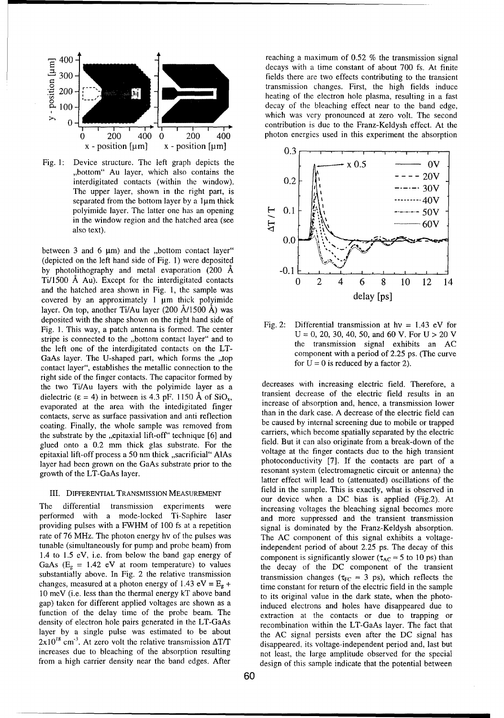

The upper layer, shown in the right part, is also text).

between 3 and 6  $\mu$ m) and the "bottom contact layer" (depicted on the left hand side of Fig. 1) were deposited by photolithography and metal evaporation  $(200 \text{ Å } -0.1$ and the hatched area shown in Fig. 1, the sample was covered by an approximately 1 µm thick polyimide delay [ps] layer. On top, another Ti/Au layer (200 A/1500 **A)** was deposited with the shape shown on the right hand side of Fig. 2: Differential transmission at hv **=** 1.43 eV for Fig. 1. This way, a patch antenna is formed. The center stripe is connected to the ,,bottom contact layer" and to  $U = 0, 20, 30, 40, 50,$  and 60 V. For  $U > 20$  V the transmission signal exhibits an AC the left one of the interdigitated contacts on the LT-<br>Contacts of the wiss in the component with a period of 2.25 ps. (The curve GaAs layer. The U-shaped part, which forms the ,,top for  $U = 0$  is reduced by a factor 2). contact layer", establishes the metallic connection to the right side of the finger contacts. The capacitor formed by the two Ti/Au layers with the polyimide layer as a decreases with increasing electric field. Therefore, a dielectric ( $\epsilon$  = 4) in between is 4.3 pF. 1150 Å of SiO<sub>x</sub>, transient decrease of the electric field results in an evaporated at the area with the intedigitated finger increase of absorption and, hence, a transmission lower<br>contects serve as surface passivation and anti-reflection than in the dark case. A decrease of the electric field contacts, serve as surface passivation and anti reflection than in the dark case. A decrease of the electric field can<br>coating Finally the whole sample was removed from the caused by internal screening due to mobile or tra coating. Finally, the whole sample was removed from the caused by internal screening due to mobile or trapped<br>the substrate by the epitaxial lift-off<sup>\*</sup> technique [6] and carriers, which become spatially separated by the e the substrate by the ,,epitaxial lift-off technique  $[6]$  and carriers, which become spatially separated by the electric<br>carriers, which become spatially separated by the electric<br>dield. But it can also originate from a b glued onto a 0.2 mm thick glas substrate. For the field. But it can also originate from a break-down of the government of the field. But it can also originate from a break-down of the entity of process a 50 nm thick accrit epitaxial lift-off process a 50 nm thick ,,sacrificial" AlAs voltage at the finger contacts due to the high transient<br>high transient photoconductivity [7]. If the contacts are part of a layer had been grown on the GaAs substrate prior to the growth of the LT-GaAs layer.<br>growth of the LT-GaAs layer.

performed with a mode-locked Ti-Saphire laser and more suppressed and the transient transmission providing pulses with a FWHM of 100 fs at a repetition signal is dominated by the Franz-Keldysh absorption. rate of 76 MHz. The photon energy hv of the pulses was The AC component of this signal exhibits a voltagetunable (simultaneously for pump and probe beam) from independent period of about 2.25 ps. The decay of this 1.4 to 1.5 eV, i.e. from below the band gap energy of component is significantly slower  $(\tau_{AC} \approx 5$  to 10 ps) than GaAs  $(E_g = 1.42 \text{ eV}$  at room temperature) to values the decay of the DC component of the transient substantially above. In Fig. 2 the relative transmission transmission changes  $(\tau_{FC} \approx 3 \text{ ps})$ , which reflects the changes, measured at a photon energy of  $1.43 \text{ eV} = E_g + \text{time constant for return of the electric field in the sample}$ 10 meV (i.e. less than the thermal energy kT above band to its original value in the dark state, when the photogap) taken for different applied voltages are shown as a induced electrons and holes have disappeared due to function of the delay time of the probe beam. The extraction at the contacts or due to trapping or density of electron hole pairs generated in the LT-GaAs recombination within the LT-GaAs layer. The fact that layer by a single pulse was estimated to be about the AC signal persists even after the DC signal has  $2x10^{18}$  cm<sup>-3</sup>. At zero volt the relative transmission  $\Delta T/T$  disappeared, its voltage-independent period and, last but increases due to bleaching of the absorption resulting not least, the large amplitude observed for the special

decays with a time constant of about 700 fs. At finite 300 fields there are two effects contributing to the transient  $200 - \left[\begin{array}{ccc} 200 - \frac{1}{2} & \frac{1}{2} \\ \frac{1}{2} & \frac{1}{2} \\ \frac{1}{2} & \frac{1}{2} \\ \frac{1}{2} & \frac{1}{2} \\ \frac{1}{2} & \frac{1}{2} \\ \frac{1}{2} & \frac{1}{2} \\ \frac{1}{2} & \frac{1}{2} \\ \frac{1}{2} & \frac{1}{2} \\ \frac{1}{2} & \frac{1}{2} \\ \frac{1}{2} & \frac{1}{2} \\ \frac{1}{2} & \frac{1}{2} \\ \frac{1}{2} & \frac{1}{2} \\ \frac{1}{2} & \frac$ heating of the electron hole plasma, resulting in a fast **100- 100- <b>100- 100- 100- 100- 100- 100- 100- 100- 100- 100- 100- 100- 100- 100- 100- 100- 100- 100- 100- 100- 100-** 0 0which was very pronounced at zero volt. The second contribution is due to the Franz-Keldysh effect. At the



latter effect will lead to (attenuated) oscillations of the III. DIFFERENTIAL **TRANSMISSION MEASUREMENT** field in the sample. This is exactly, what is observed in our device when a DC bias is applied (Fig.2). At The differential transmission experiments were increasing voltages the bleaching signal becomes more from a high carrier density near the band edges. After design of this sample indicate that the potential between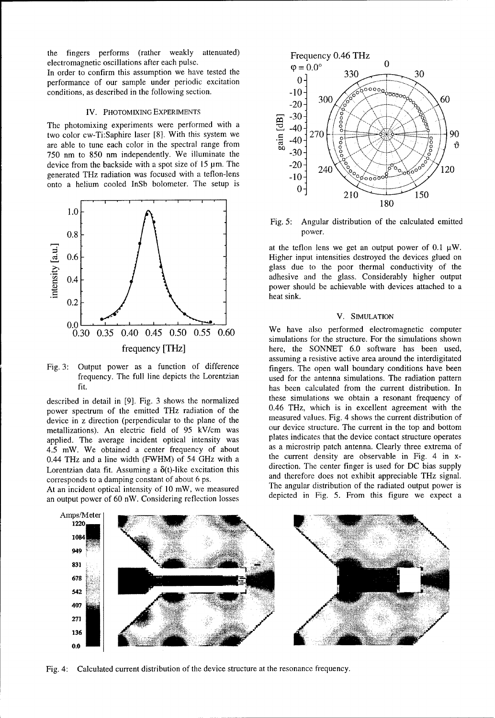the fingers performs (rather weakly attenuated) Frequency 0.46 THz electromagnetic oscillations after each pulse.  $\varphi = 0.0^{\circ}$  0

In order to confirm this assumption we have tested the  $\begin{array}{ccc}\n\sqrt{2} & 0.0 \\
0 & 330\n\end{array}$  30 performance of our sample under periodic excitation  $0$ <sup>-</sup><br>conditions, as described in the following section.  $-10$ -

### IV. PHOTOMIXING EXPERIMENTS

The photomixing experiments were performed with a<br>two color cw-Ti:Saphire laser [8]. With this system we<br>are able to tune each color in the spectral range from  $\frac{12}{60}$  -40<br> $\frac{1}{270}$ two color cw-Ti:Saphire laser [8]. With this system we  $\frac{40}{5}$  270  $\frac{8}{5}$   $\frac{40}{5}$  270  $\frac{1}{5}$   $\frac{6}{5}$   $\frac{1}{5}$  90 are able to tune each color in the spectral range from  $\frac{1}{60}$   $\frac{140}{60}$   $\frac{140}{60}$   $\frac{140}{60}$   $\frac{140}{60}$   $\frac{140}{60}$   $\frac{140}{60}$   $\frac{140}{60}$   $\frac{140}{60}$   $\frac{140}{60}$   $\frac{140}{60}$   $\frac{140}{60}$   $\frac{140}{60}$  $750$  nm to  $850$  nm independently. We illuminate the device from the backside with a spot size of 15 pm. The  $-20 + 240 \sqrt{6}$   $\sqrt{60}$   $\sqrt{60}$   $\sqrt{20}$ generated THz radiation was focused with a teflon-lens  $-10^{-240}$ onto a helium cooled InSb bolometer. The setup is  $\begin{bmatrix} 0 \\ 0 \end{bmatrix}$ 



power spectrum of the emitted THz radiation of the 0.46 THz, which is in excellent agreement with the device in z direction (perpendicular to the plane of the measured values. Fig. 4 shows the current distribution of device in z direction (perpendicular to the plane of the measured values. Fig. 4 shows the current distribution of metallizations). An electric field of 95 kV/cm was our device structure. The current in the top and bottom metallizations). An electric field of 95 kV/cm was our device structure. The current in the top and bottom<br>englished. The average incident optical intensity was plates indicates that the device contact structure operates applied. The average incident optical intensity was plates indicates that the device contact structure operates<br>4.5 mW, We obtained a center frequency of about as a microstrip patch antenna. Clearly three extrema of  $4.5$  mW. We obtained a center frequency of about 0.44 THz and a line width (FWHM) of 54 GHz with a the current density are observable in Fig. 4 in x-Lorentzian data fit. Assuming a  $\delta(t)$ -like excitation this direction. The center finger is used for DC bias supply

an output power of 60 nW. Considering reflection losses



Fig. 5: Angular distribution of the calculated emitted

 $\begin{array}{ccc} 0.6 \end{array}$   $\begin{array}{ccc} \end{array}$   $\begin{array}{ccc} \end{array}$  Higher input intensities destroyed the devices glued on glass due to the poor thermal conductivity of the  $\begin{array}{ccc} 0.4 \end{array}$   $\begin{array}{ccc} \end{array}$   $\begin{array}{ccc} \end{array}$  adhesive and the glass. Considerably higher output power should be achievable with devices attached to a

simulations for the structure. For the simulations shown frequency [THz] here, the SONNET 6.0 software has been used, assuming a resistive active area around the interdigitated Fig. 3: Output power as a function of difference fingers. The open wall boundary conditions have been frequency. The full line depicts the Lorentzian used for the antenna simulations. The radiation pattern fit. has been calculated from the current distribution. In described in detail in [9]. Fig. 3 shows the normalized these simulations we obtain a resonant frequency of normalized normalized  $0.46$  THz, which is in excellent agreement with the corresponds to a damping constant of about 6 ps.<br>
corresponds to a damping constant of about 6 p. and therefore does not exhibit appreciable THz signal.<br>
A t on incident ortical intensity of 10 mW we measured The angular d At an incident optical intensity of 10 mW, we measured The angular distribution of the radiated output power is<br>an output power of 60 nW. Considering ratestion losses depicted in Fig. 5. From this figure we expect a



Fig. 4: Calculated current distribution of the device structure at the resonance frequency.